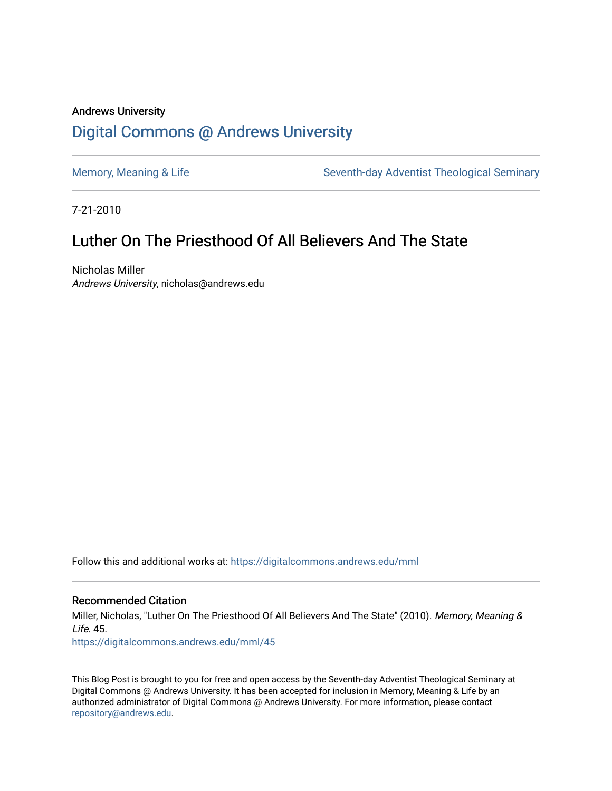# Andrews University [Digital Commons @ Andrews University](https://digitalcommons.andrews.edu/)

[Memory, Meaning & Life](https://digitalcommons.andrews.edu/mml) Seventh-day Adventist Theological Seminary

7-21-2010

# Luther On The Priesthood Of All Believers And The State

Nicholas Miller Andrews University, nicholas@andrews.edu

Follow this and additional works at: [https://digitalcommons.andrews.edu/mml](https://digitalcommons.andrews.edu/mml?utm_source=digitalcommons.andrews.edu%2Fmml%2F45&utm_medium=PDF&utm_campaign=PDFCoverPages) 

## Recommended Citation

Miller, Nicholas, "Luther On The Priesthood Of All Believers And The State" (2010). Memory, Meaning &  $l$  ife. 45. [https://digitalcommons.andrews.edu/mml/45](https://digitalcommons.andrews.edu/mml/45?utm_source=digitalcommons.andrews.edu%2Fmml%2F45&utm_medium=PDF&utm_campaign=PDFCoverPages)

This Blog Post is brought to you for free and open access by the Seventh-day Adventist Theological Seminary at Digital Commons @ Andrews University. It has been accepted for inclusion in Memory, Meaning & Life by an authorized administrator of Digital Commons @ Andrews University. For more information, please contact [repository@andrews.edu](mailto:repository@andrews.edu).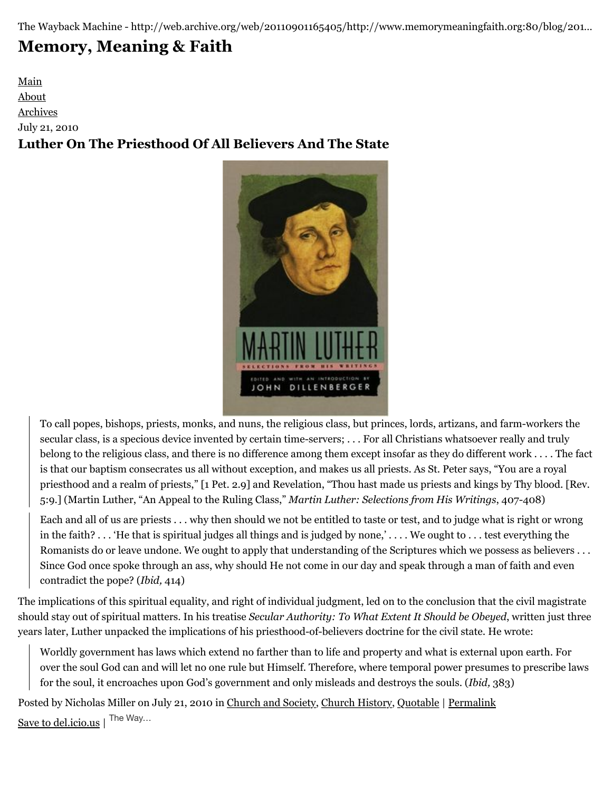The Wayback Machine - http://web.archive.org/web/20110901165405/http://www.memorymeaningfaith.org:80/blog/201…

# **[Memory, Meaning & Faith](http://web.archive.org/web/20110901165405/http://www.memorymeaningfaith.org/blog/)**

[Main](http://web.archive.org/web/20110901165405/http://www.memorymeaningfaith.org/blog) [About](http://web.archive.org/web/20110901165405/http://www.memorymeaningfaith.org/blog/about.html) [Archives](http://web.archive.org/web/20110901165405/http://www.memorymeaningfaith.org/blog/archives.html) July 21, 2010 **Luther On The Priesthood Of All Believers And The State**



To call popes, bishops, priests, monks, and nuns, the religious class, but princes, lords, artizans, and farm-workers the secular class, is a specious device invented by certain time-servers; . . . For all Christians whatsoever really and truly belong to the religious class, and there is no difference among them except insofar as they do different work . . . . The fact is that our baptism consecrates us all without exception, and makes us all priests. As St. Peter says, "You are a royal priesthood and a realm of priests," [1 Pet. 2.9] and Revelation, "Thou hast made us priests and kings by Thy blood. [Rev. 5:9.] (Martin Luther, "An Appeal to the Ruling Class," *Martin Luther: Selections from His Writings*, 407-408)

Each and all of us are priests . . . why then should we not be entitled to taste or test, and to judge what is right or wrong in the faith? . . . 'He that is spiritual judges all things and is judged by none,' . . . . We ought to . . . test everything the Romanists do or leave undone. We ought to apply that understanding of the Scriptures which we possess as believers . . . Since God once spoke through an ass, why should He not come in our day and speak through a man of faith and even contradict the pope? (*Ibid,* 414)

The implications of this spiritual equality, and right of individual judgment, led on to the conclusion that the civil magistrate should stay out of spiritual matters. In his treatise *Secular Authority: To What Extent It Should be Obeyed*, written just three years later, Luther unpacked the implications of his priesthood-of-believers doctrine for the civil state. He wrote:

Worldly government has laws which extend no farther than to life and property and what is external upon earth. For over the soul God can and will let no one rule but Himself. Therefore, where temporal power presumes to prescribe laws for the soul, it encroaches upon God's government and only misleads and destroys the souls. (*Ibid,* 383)

Posted by Nicholas Miller on July 21, 2010 in [Church and Society](http://web.archive.org/web/20110901165405/http://www.memorymeaningfaith.org/blog/church-and-society/), [Church History](http://web.archive.org/web/20110901165405/http://www.memorymeaningfaith.org/blog/church-history/), [Quotable](http://web.archive.org/web/20110901165405/http://www.memorymeaningfaith.org/blog/sources/) | [Permalink](http://web.archive.org/web/20110901165405/http://www.memorymeaningfaith.org/blog/2010/07/luther-on-the-priesthood-of-all-believers-and-the-state.html) [Save to del.icio.us](http://web.archive.org/web/20110901165405/http://del.icio.us/post) | The Way...